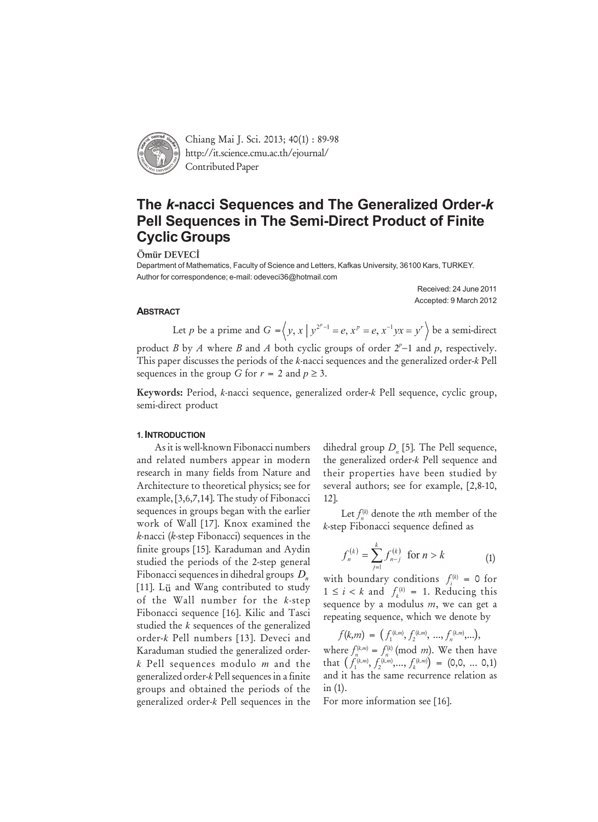

Chiang Mai J. Sci. 2013; 40(1) : 89-98 http://it.science.cmu.ac.th/ejournal/ Contributed Paper

# **The** *k***-nacci Sequences and The Generalized Order-***k* **Pell Sequences in The Semi-Direct Product of Finite Cyclic Groups**

Ömür DEVECİ

Department of Mathematics, Faculty of Science and Letters, Kafkas University, 36100 Kars, TURKEY. Author for correspondence; e-mail: odeveci36@hotmail.com

> Received: 24 June 2011 Accepted: 9 March 2012

#### **ABSTRACT**

Let *p* be a prime and  $G = \langle y, x | y^{2^p-1} = e, x^p = e, x^{-1}yx = y^r \rangle$  be a semi-direct product *B* by *A* where *B* and *A* both cyclic groups of order  $2^p - 1$  and *p*, respectively. This paper discusses the periods of the *k-*nacci sequences and the generalized order-*k* Pell sequences in the group *G* for  $r = 2$  and  $p \ge 3$ .

Keywords: Period, *k-*nacci sequence, generalized order-*k* Pell sequence, cyclic group, semi-direct product

#### **1. INTRODUCTION**

As it is well-known Fibonacci numbers and related numbers appear in modern research in many fields from Nature and Architecture to theoretical physics; see for example, [3,6,7,14]. The study of Fibonacci sequences in groups began with the earlier work of Wall [17]. Knox examined the *k-*nacci (*k-*step Fibonacci) sequences in the finite groups [15]. Karaduman and Aydin studied the periods of the 2-step general Fibonacci sequences in dihedral groups  $D<sub>n</sub>$ [11]. Lü and Wang contributed to study of the Wall number for the *k-*step Fibonacci sequence [16]. Kilic and Tasci studied the *k* sequences of the generalized order-*k* Pell numbers [13]. Deveci and Karaduman studied the generalized order*k* Pell sequences modulo *m* and the generalized order-*k* Pell sequences in a finite groups and obtained the periods of the generalized order-*k* Pell sequences in the

dihedral group  $D_n$  [5]. The Pell sequence, the generalized order-*k* Pell sequence and their properties have been studied by several authors; see for example, [2,8-10, 12].

Let  $f_n^{(k)}$  denote the *n*th member of the *k*-step Fibonacci sequence defined as

$$
f_n^{(k)} = \sum_{j=1}^k f_{n-j}^{(k)} \text{ for } n > k
$$
 (1)

with boundary conditions  $f_i^{(k)} = 0$  for  $1 \leq i \leq k$  and  $f_k^{(k)} = 1$ . Reducing this sequence by a modulus *m*, we can get a repeating sequence, which we denote by

 $f(k,m) = \left( f_1^{(k,m)}, f_2^{(k,m)}, ..., f_n^{(k,m)},...\right),$ where  $f_n^{(k,m)} = f_n^{(k)} \pmod{m}$ . We then have that  $(f_1^{(k,m)}, f_2^{(k,m)},..., f_k^{(k,m)}) = (0,0, ..., 0,1)$ and it has the same recurrence relation as in (1).

For more information see [16].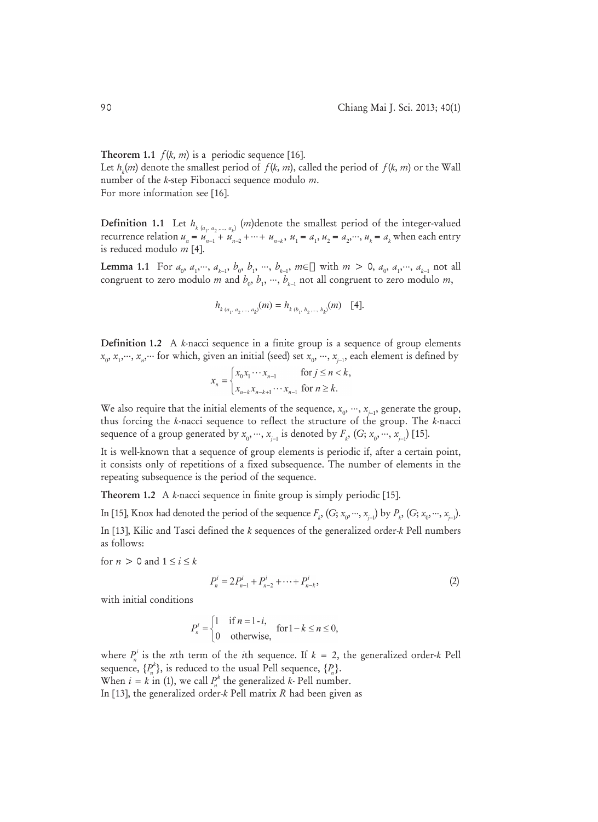**Theorem 1.1**  $f(k, m)$  is a periodic sequence [16].

Let  $h_k(m)$  denote the smallest period of  $f(k, m)$ , called the period of  $f(k, m)$  or the Wall number of the *k*-step Fibonacci sequence modulo *m*. For more information see [16].

**Definition 1.1** Let  $h_{k(a_1, a_2, \ldots, a_k)}$  (*m*)denote the smallest period of the integer-valued recurrence relation  $u_n = u_{n-1}^+ + u_{n-2}^+ + \cdots + u_{n-k}^-, u_1 = a_1, u_2 = a_2, \dots, u_k = a_k$  when each entry is reduced modulo *m* [4].

**Lemma 1.1** For  $a_0$ ,  $a_1$ ,  $\cdots$ ,  $a_{k-1}$ ,  $b_0$ ,  $b_1$ ,  $\cdots$ ,  $b_{k-1}$ ,  $m \in \square$  with  $m > 0$ ,  $a_0$ ,  $a_1$ ,  $\cdots$ ,  $a_{k-1}$  not all congruent to zero modulo  $m$  and  $b_0$ ,  $b_1$ ,  $\cdot\cdot\cdot$ ,  $b_{k-1}$  not all congruent to zero modulo  $m,$ 

$$
h_{k(a_1, a_2, \dots, a_k)}(m) = h_{k(b_1, b_2, \dots, b_k)}(m) \quad [4].
$$

Definition 1.2 A *k-*nacci sequence in a finite group is a sequence of group elements *x*<sub>0</sub>, *x*<sub>1</sub>,…, *x<sub>n</sub>*,… for which, given an initial (seed) set *x*<sub>0</sub>, …, *x<sub>j−1</sub>*, each element is defined by

$$
x_n = \begin{cases} x_0 x_1 \cdots x_{n-1} & \text{for } j \le n < k, \\ x_{n-k} x_{n-k+1} \cdots x_{n-1} & \text{for } n \ge k. \end{cases}
$$

We also require that the initial elements of the sequence,  $x_0, \, \cdots, \, x_{j-1},$  generate the group, thus forcing the *k-*nacci sequence to reflect the structure of the group. The *k-*nacci sequence of a group generated by  $x_0, ..., x_{j-1}$  is denoted by  $F_{k}$ ,  $(G; x_0, ..., x_{j-1})$  [15].

It is well-known that a sequence of group elements is periodic if, after a certain point, it consists only of repetitions of a fixed subsequence. The number of elements in the repeating subsequence is the period of the sequence.

Theorem 1.2 A *k-*nacci sequence in finite group is simply periodic [15].

In [15], Knox had denoted the period of the sequence  $F_k$ ,  $(G; x_0,$   $\cdots$ ,  $x_{j-1})$  by  $P_k$ ,  $(G; x_0,$   $\cdots$ ,  $x_{j-1})$ .

In [13], Kilic and Tasci defined the *k* sequences of the generalized order*-k* Pell numbers as follows:

for  $n > 0$  and  $1 \le i \le k$ 

$$
P_n^i = 2P_{n-1}^i + P_{n-2}^i + \dots + P_{n-k}^i,
$$
\n(2)

with initial conditions

$$
P_n^i = \begin{cases} 1 & \text{if } n = 1 - i, \\ 0 & \text{otherwise,} \end{cases} \quad \text{for } 1 - k \le n \le 0,
$$

where  $P_n^i$  is the *n*th term of the *i*th sequence. If  $k = 2$ , the generalized order-*k* Pell sequence,  $\{P_n^k\}$ , is reduced to the usual Pell sequence,  $\{P_n\}$ . When  $i = k$  in (1), we call  $P_n^k$  the generalized  $k$ - Pell number.

In [13], the generalized order-*k* Pell matrix *R* had been given as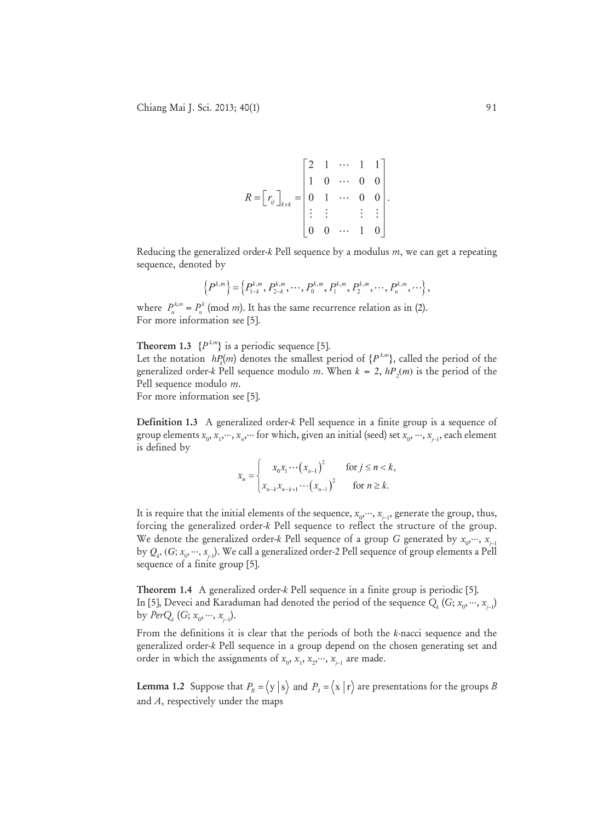$$
R = \begin{bmatrix} r_{ij} \end{bmatrix}_{k \times k} = \begin{bmatrix} 2 & 1 & \cdots & 1 & 1 \\ 1 & 0 & \cdots & 0 & 0 \\ 0 & 1 & \cdots & 0 & 0 \\ \vdots & \vdots & & \vdots & \vdots \\ 0 & 0 & \cdots & 1 & 0 \end{bmatrix}.
$$

Reducing the generalized order-*k* Pell sequence by a modulus *m*, we can get a repeating sequence, denoted by

$$
\left\{P^{k,m}\right\} = \left\{P^{k,m}_{1-k}, P^{k,m}_{2-k}, \cdots, P^{k,m}_{0}, P^{k,m}_{1}, P^{k,m}_{2}, \cdots, P^{k,m}_{n}, \cdots\right\},\,
$$

where  $P_n^{k,m} = P_n^k \pmod{m}$ . It has the same recurrence relation as in (2). For more information see [5].

**Theorem 1.3**  $\{P^{k,m}\}\$ is a periodic sequence [5]. Let the notation  $hP_k(m)$  denotes the smallest period of  $\{P^{k,m}\}$ , called the period of the generalized order-*k* Pell sequence modulo *m*. When  $k = 2$ ,  $hP_2(m)$  is the period of the Pell sequence modulo *m*.

For more information see [5].

Definition 1.3 A generalized order-*k* Pell sequence in a finite group is a sequence of group elements  $x_0, x_1,$ ...,  $x_n$ ... for which, given an initial (seed) set  $x_0,$  ...,  $x_{j-1}$ , each element is defined by

$$
x_n = \begin{cases} x_0 x_1 \cdots (x_{n-1})^2 & \text{for } j \le n < k, \\ x_{n-k} x_{n-k+1} \cdots (x_{n-1})^2 & \text{for } n \ge k. \end{cases}
$$

It is require that the initial elements of the sequence,  $x_0^{},\cdots\!,\,x_{_{j-1}^{}},$  generate the group, thus, forcing the generalized order-*k* Pell sequence to reflect the structure of the group. We denote the generalized order-*k* Pell sequence of a group *G* generated by  $x_{0}^{\phantom{\dag}}$  ,…,  $x_{j-1}^{\phantom{\dag}}$ by  $\mathcal{Q}_k$ , (*G*;  $x_{_0},$   $\cdots$ ,  $x_{_{j-1}}$ ). We call a generalized order-2 Pell sequence of group elements a Pell sequence of a finite group [5].

Theorem 1.4 A generalized order-*k* Pell sequence in a finite group is periodic [5]. In [5], Deveci and Karaduman had denoted the period of the sequence  $Q_{_{k}}\left(G;x_{_{0}},...,x_{_{j-1}}\right)$ by *PerQ<sub>k</sub>* (*G*; *x*<sub>0</sub>, …, *x*<sub>j−1</sub>).

From the definitions it is clear that the periods of both the *k-*nacci sequence and the generalized order-*k* Pell sequence in a group depend on the chosen generating set and order in which the assignments of  $x_0, x_1, x_2, \dots, x_{j-1}$  are made.

**Lemma 1.2** Suppose that  $P_B = \langle y | s \rangle$  and  $P_A = \langle x | r \rangle$  are presentations for the groups *B* and *A*, respectively under the maps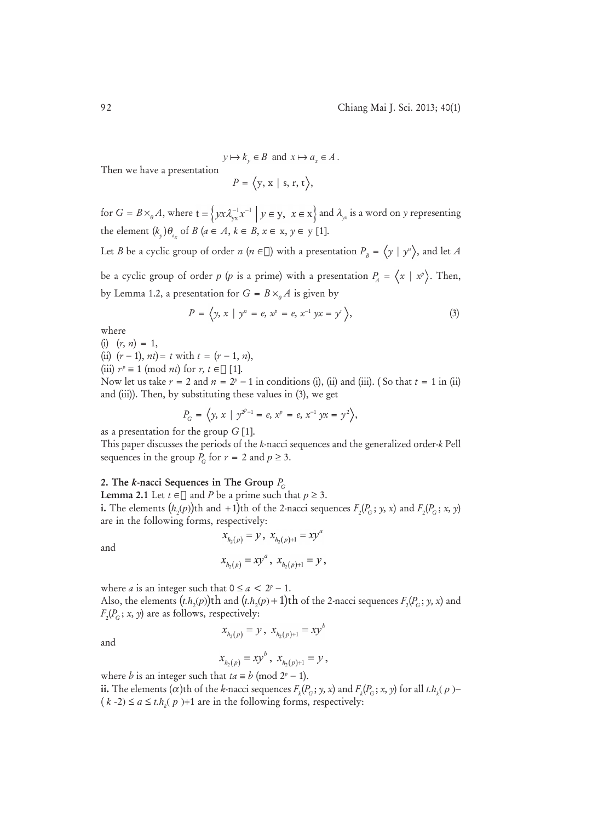$$
y \mapsto k_y \in B
$$
 and  $x \mapsto a_x \in A$ 

Then we have a presentation

$$
P = \langle y, x \mid s, r, t \rangle,
$$

for  $G = B \times_{\theta} A$ , where  $t = \left\{ yx \lambda_{yx}^{-1} x^{-1} \mid y \in y, x \in x \right\}$  and  $\lambda_{yx}$  is a word on *y* representing the element  $(k_{\sf y})\theta_{_{\!a_{\sf x}}}$  of  $B$  ( $a \in A, k \in B, x \in {\rm x}, y \in {\rm y}$  [1].

Let *B* be a cyclic group of order *n* (*n* ∈[]) with a presentation  $P_{_B} = \langle y | y^n \rangle$ , and let *A* 

be a cyclic group of order *p* (*p* is a prime) with a presentation  $P_{\!A} = \langle x \mid x^p \rangle$ . Then, by Lemma 1.2, a presentation for  $G = B \times_{\alpha} A$  is given by

$$
P = \left\langle y, x \mid y^n = e, x^p = e, x^{-1} yx = y^r \right\rangle, \tag{3}
$$

where

- (i)  $(r, n) = 1$ ,
- (ii)  $(r 1)$ ,  $nt$ ) =  $t$  with  $t = (r 1, n)$ ,

(iii)  $r^p \equiv 1 \pmod{nt}$  for *r*,  $t \in [1]$ .

Now let us take  $r = 2$  and  $n = 2^p - 1$  in conditions (i), (ii) and (iii). (So that  $t = 1$  in (ii) and (iii)). Then, by substituting these values in (3), we get

$$
P_G = \langle y, x \mid y^{2^p-1} = e, x^p = e, x^{-1} yx = y^2 \rangle,
$$

as a presentation for the group *G* [1].

This paper discusses the periods of the *k-*nacci sequences and the generalized order*-k* Pell sequences in the group  $P_G$  for  $r = 2$  and  $p \ge 3$ .

## 2. The *k*-nacci Sequences in The Group  $P_G$

**Lemma 2.1** Let  $t \in \Box$  and *P* be a prime such that  $p \ge 3$ .

i. The elements  $(h_2(p))$ th and +1)th of the 2-nacci sequences  $F_2(P_G; y, x)$  and  $F_2(P_G; x, y)$ are in the following forms, respectively:

$$
\quad \text{and} \quad
$$

$$
x_{h_2(p)} = y, \ x_{h_2(p)+1} = xy^a
$$

$$
x_{h_2(p)} = xy^{\scriptscriptstyle\cdots}, \; x_{h_2(p)+1} = y \,,
$$

where *a* is an integer such that  $0 \le a < 2^p - 1$ . Also, the elements  $(t.h_2(p))$ th and  $(t.h_2(p) + 1)$ th of the 2-nacci sequences  $F_2(P_G; y, x)$  and  $F_2(P_G; x, y)$  are as follows, respectively:

$$
x_{h_2(p)} = y, \ x_{h_2(p)+1} = xy^b
$$

and

$$
x_{h_2(p)} = xy^b, \ x_{h_2(p)+1} = y,
$$

where *b* is an integer such that  $ta \equiv b \pmod{2^p - 1}$ .

ii. The elements ( $\alpha$ )th of the *k*-nacci sequences  $F_k(P_G; y, x)$  and  $F_k(P_G; x, y)$  for all  $t.h_k(p)$ –  $(k-2) \le a \le t \cdot h_k(p) + 1$  are in the following forms, respectively: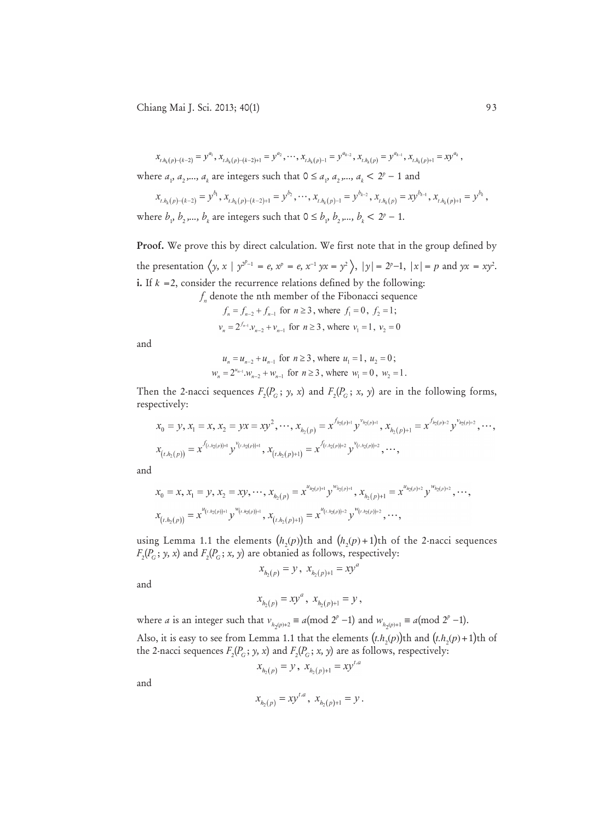$x_{t,h_k(p)-(k-2)} = y^{a_1}, x_{t,h_k(p)-(k-2)+1} = y^{a_2}, \dots, x_{t,h_k(p)-1} = y^{a_{k-2}}, x_{t,h_k(p)} = y^{a_{k-1}}, x_{t,h_k(p)+1} = xy^{a_k},$ where  $a_1$ ,  $a_2$ ,...,  $a_k$  are integers such that 0 ≤  $a_1$ ,  $a_2$ ,...,  $a_k$  < 2*p* − 1 and

$$
x_{t,h_k(p)-(k-2)} = y^{b_1}, x_{t,h_k(p)-(k-2)+1} = y^{b_2}, \dots, x_{t,h_k(p)-1} = y^{b_{k-2}}, x_{t,h_k(p)} = xy^{b_{k-1}}, x_{t,h_k(p)+1} = y^{b_k},
$$
  
where  $b_1, b_2, \dots, b_k$  are integers such that  $0 \le b_1, b_2, \dots, b_k < 2^p - 1$ .

Proof. We prove this by direct calculation. We first note that in the group defined by the presentation  $\langle y, x | y^{2^{p}-1} = e, x^p = e, x^{-1} yx = y^2 \rangle$ ,  $|y| = 2^p - 1$ ,  $|x| = p$  and  $yx = xy^2$ . i. If *k =*2, consider the recurrence relations defined by the following:

$$
f_n
$$
 denote the nth member of the Fibonacci sequence  
\n $f_n = f_{n-2} + f_{n-1}$  for  $n \ge 3$ , where  $f_1 = 0$ ,  $f_2 = 1$ ;  
\n $v_n = 2^{f_{n-1}} v_{n-2} + v_{n-1}$  for  $n \ge 3$ , where  $v_1 = 1$ ,  $v_2 = 0$ 

and

$$
u_n = u_{n-2} + u_{n-1}
$$
 for  $n \ge 3$ , where  $u_1 = 1$ ,  $u_2 = 0$ ;  
\n $w_n = 2^{u_{n-1}} \cdot w_{n-2} + w_{n-1}$  for  $n \ge 3$ , where  $w_1 = 0$ ,  $w_2 = 1$ 

Then the 2-nacci sequences  $F_2(P_G; y, x)$  and  $F_2(P_G; x, y)$  are in the following forms, respectively:

$$
x_0 = y, x_1 = x, x_2 = yx = xy^2, \dots, x_{h_2(p)} = x^{f_{h_2(p)+1}} y^{v_{h_2(p)+1}}, x_{h_2(p)+1} = x^{f_{h_2(p)+2}} y^{v_{h_2(p)+2}}, \dots, x_{(t,h_2(p))} = x^{f_{(t,h_2(p))+1}}, x_{(t,h_2(p)+1)} = x^{f_{(t,h_2(p))+1}}, \dots,
$$

and

$$
x_0 = x, x_1 = y, x_2 = xy, \dots, x_{h_2(p)} = x^{u_{h_2(p)+1}} y^{w_{h_2(p)+1}}, x_{h_2(p)+1} = x^{u_{h_2(p)+2}} y^{w_{h_2(p)+2}}, \dots, x_{(t,h_2(p))} = x^{u_{(t,h_2(p))+1}} y^{w_{(t,h_2(p))+1}}, x_{(t,h_2(p)+1)} = x^{u_{(t,h_2(p))+2}} y^{w_{(t,h_2(p)+2)}}, \dots,
$$

using Lemma 1.1 the elements  $(h_2(p))$ th and  $(h_2(p)+1)$ th of the 2-nacci sequences  $F_2(P_{\overline{G}};\,y,\,x)$  and  $F_2(P_{\overline{G}};\,x,\,y)$  are obtanied as follows, respectively:

$$
x_{h_2(p)} = y, \ x_{h_2(p)+1} = xy
$$

and

$$
x_{h_2(p)} = xy^a, \ x_{h_2(p)+1} = y,
$$

where *a* is an integer such that  $v_{h_2(p)+2} \equiv a \pmod{2^p - 1}$  and  $w_{h_2(p)+1} \equiv a \pmod{2^p - 1}$ . Also, it is easy to see from Lemma 1.1 that the elements  $(t.h_2(p))$ th and  $(t.h_2(p)+1)$ th of the 2-nacci sequences  $F_2(P_{\overline{G}}; y, x)$  and  $F_2(P_{\overline{G}}; x, y)$  are as follows, respectively:

$$
x_{h_2(p)} = y, \ x_{h_2(p)+1} = xy
$$

and

$$
x_{h_2(p)} = xy^{t.a}, \ x_{h_2(p)+1} = y
$$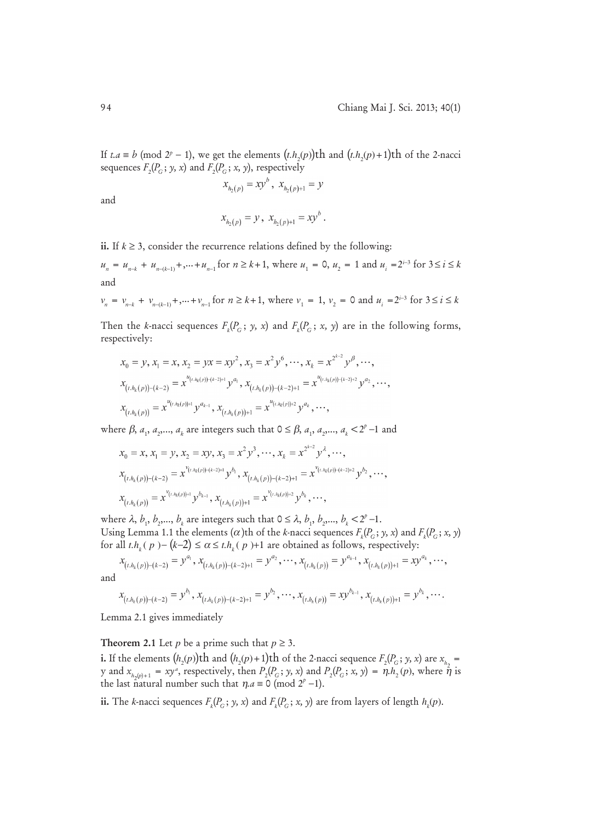If *t.a* ≡ *b* (mod 2<sup>*p*</sup> − 1), we get the elements (*t.h*<sub>2</sub>(*p*))th and (*t.h*<sub>2</sub>(*p*)+1)th of the 2-nacci sequences  $F_2(P_G; y, x)$  and  $F_2(P_G; x, y)$ , respectively

$$
x_{h_2(p)} = xy^b, \ x_{h_2(p)+1} = y
$$

and

$$
x_{h_2(p)} = y, \ x_{h_2(p)+1} = xy^b.
$$

ii. If  $k \geq 3$ , consider the recurrence relations defined by the following:

 $u_n = u_{n-k} + u_{n-(k-1)} + \dots + u_{n-1}$  for  $n \ge k+1$ , where  $u_1 = 0$ ,  $u_2 = 1$  and  $u_i = 2^{i-3}$  for  $3 \le i \le k$ and

$$
v_n = v_{n-k} + v_{n-(k-1)} + \dots + v_{n-1} \text{ for } n \ge k+1, \text{ where } v_1 = 1, v_2 = 0 \text{ and } u_i = 2^{i-3} \text{ for } 3 \le i \le k
$$

Then the *k*-nacci sequences  $F_k(P_G; y, x)$  and  $F_k(P_G; x, y)$  are in the following forms, respectively:

$$
x_0 = y, x_1 = x, x_2 = yx = xy^2, x_3 = x^2y^6, \dots, x_k = x^{2^{k-2}}y^{\beta}, \dots, \n x_{(t,h_k(p))-(k-2)} = x^{u_{(t,h_k(p))-(k-2)+1}} y^{a_1}, x_{(t,h_k(p))-(k-2)+1} = x^{u_{(t,h_k(p))-(k-2)+2}} y^{a_2}, \dots, \n x_{(t,h_k(p))} = x^{u_{(t,h_k(p))+1}} y^{a_{k-1}}, x_{(t,h_k(p))+1} = x^{u_{(t,h_k(p))+2}} y^{a_k}, \dots,
$$

where  $\beta$ ,  $a_1$ ,  $a_2$ ,...,  $a_k$  are integers such that  $0 \leq \beta$ ,  $a_1$ ,  $a_2$ ,...,  $a_k < 2^p - 1$  and

$$
x_0 = x, x_1 = y, x_2 = xy, x_3 = x^2 y^3, \dots, x_k = x^{2^{k-2}} y^{\lambda}, \dots,
$$
  
\n
$$
x_{(t, h_k(p))-(k-2)} = x^{v_{(t, h_k(p))-(k-2)+1}} y^{b_1}, x_{(t, h_k(p))-(k-2)+1} = x^{v_{(t, h_k(p))-(k-2)+2}} y^{b_2}, \dots,
$$
  
\n
$$
x_{(t, h_k(p))} = x^{v_{(t, h_k(p))+1}} y^{b_{k-1}}, x_{(t, h_k(p))+1} = x^{v_{(t, h_k(p))+2}} y^{b_k}, \dots,
$$

where  $\lambda$ ,  $b_1$ ,  $b_2$ ,...,  $b_k$  are integers such that  $0 \le \lambda$ ,  $b_1$ ,  $b_2$ ,...,  $b_k < 2^p - 1$ . Using Lemma 1.1 the elements ( $\alpha$ )th of the *k*-nacci sequences  $F_k(P_G; y, x)$  and  $F_k(P_G; x, y)$ for all *t.h<sub>k</sub>* (*p*)− (*k*−2) ≤ α ≤ *t.h<sub>k</sub>* (*p*)+1 are obtained as follows, respectively:

$$
x_{(t,h_k(p))-(k-2)} = y^{a_1}, x_{(t,h_k(p))-(k-2)+1} = y^{a_2}, \cdots, x_{(t,h_k(p))} = y^{a_{k-1}}, x_{(t,h_k(p))+1} = xy^{a_k}, \cdots,
$$

and

$$
x_{(t,h_k(p))-(k-2)}=y^{b_1}, x_{(t,h_k(p))-(k-2)+1}=y^{b_2}, \cdots, x_{(t,h_k(p))}=xy^{b_{k-1}}, x_{(t,h_k(p))+1}=y^{b_k}, \cdots.
$$

Lemma 2.1 gives immediately

**Theorem 2.1** Let *p* be a prime such that  $p \ge 3$ .

i. If the elements  $(h_2(p))$ th and  $(h_2(p) + 1)$ th of the 2-nacci sequence  $F_2(P_G; y, x)$  are  $x_{h_2} =$ y and  $x_{h_2(p)+1} = xy^a$ , respectively, then  $P_2(P_G; y, x)$  and  $P_2(P_G; x, y) = \eta h_2(p)$ , where  $\tilde{\eta}$  is the last natural number such that  $\eta.a \equiv 0 \pmod{2^p-1}$ .

ii. The *k*-nacci sequences  $F_k(P_G; y, x)$  and  $F_k(P_G; x, y)$  are from layers of length  $h_k(p)$ .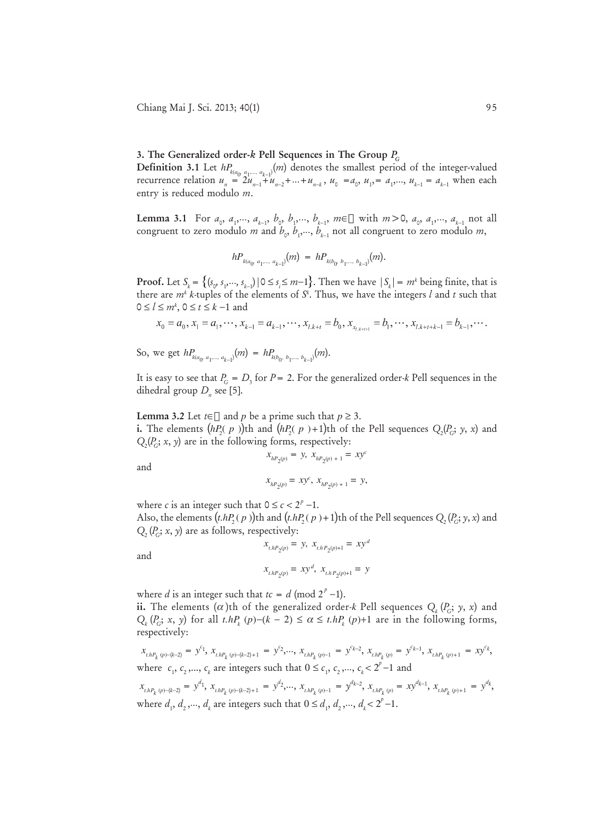# 3. The Generalized order-*k* Pell Sequences in The Group  $P_G$

**Definition 3.1** Let  $hP_{k(a_0, a_1, \ldots, a_{k-1})}(m)$  denotes the smallest period of the integer-valued recurrence relation  $u_n = 2u_{n-1} + u_{n-2} + ... + u_{n-k}$ ,  $u_0 = a_0$ ,  $u_1 = a_1, ..., u_{k-1} = a_{k-1}$  when each entry is reduced modulo *m*.

**Lemma 3.1** For  $a_0$ ,  $a_1$ ,…,  $a_{k-1}$ ,  $b_0$ ,  $b_1$ ,…,  $b_{k-1}$ ,  $m \in \Box$  with  $m > 0$ ,  $a_0$ ,  $a_1$ ,…,  $a_{k-1}$  not all congruent to zero modulo  $m$  and  $b_{\scriptscriptstyle 0}, b_{\scriptscriptstyle 1},..., b_{\scriptscriptstyle k-1}$  not all congruent to zero modulo  $m,$ 

$$
hP_{k(a_0, a_1, \ldots, a_{k-1})}(m) = hP_{k(b_0, b_1, \ldots, b_{k-1})}(m).
$$

**Proof.** Let  $S_k = \{(s_0, s_1, \dots, s_{k-1}) \mid 0 \le s_i \le m-1\}$ . Then we have  $|S_k| = m^k$  being finite, that is there are *m<sup>k</sup> k-*tuples of the elements of *S<sup>k</sup>* . Thus, we have the integers *l* and *t* such that 0 ≤ *l* ≤ *m<sup>k</sup>* , 0 ≤ *t* ≤ *k* −1 and

$$
x_0 = a_0, x_1 = a_1, \cdots, x_{k-1} = a_{k-1}, \cdots, x_{l,k+t} = b_0, x_{x_{l,k+t+1}} = b_1, \cdots, x_{l,k+t+k-1} = b_{k-1}, \cdots
$$

So, we get  $hP_{k(a_0, a_1, \ldots, a_{k-1})}(m) = hP_{k(b_0, b_1, \ldots, b_{k-1})}(m)$ .

It is easy to see that  $P_G = D_3$  for  $P = 2$ . For the generalized order-*k* Pell sequences in the dihedral group  $D_n$  see [5].

**Lemma 3.2** Let  $t \in \Box$  and *p* be a prime such that  $p \ge 3$ . i. The elements  $(hP_2(p))$ th and  $(hP_2(p)+1)$ th of the Pell sequences  $Q_2(P_G; y, x)$  and  $Q_2(P_G; x, y)$  are in the following forms, respectively:

and

$$
x_{hP_2(p)} = xy^c, \ x_{hP_2(p)+1} = y,
$$

 $x_{hP_2(p)} = y$ ,  $x_{hP_2(p) + 1} = xy^c$ 

where *c* is an integer such that  $0 \le c < 2^p - 1$ . Also, the elements  $(t.hP_2(p))$ th and  $(t.hP_2(p)+1)$ th of the Pell sequences  $Q_2(P_G; y, x)$  and  $Q_2$  ( $P_G$ ; *x*, *y*) are as follows, respectively:

 $x_{t.hP_2(p)} = y, x_{t.hP_2(p)+1} = xy^d$ 

and

$$
x_{\iota\hbar P_2(p)} = xy^d, \ x_{\iota\hbar P_2(p)+1} = y
$$

where *d* is an integer such that  $tc = d \pmod{2^p - 1}$ .

ii. The elements ( $\alpha$ )th of the generalized order-*k* Pell sequences  $Q_k(P_G; y, x)$  and  $Q_k(P_G; x, y)$  for all *t.hP<sub>k</sub>* (*p*)−(*k* − 2) ≤ α ≤ *t.hP<sub>k</sub>* (*p*)+1 are in the following forms, respectively:

$$
x_{t,hP_k(p)-(k-2)} = y^{c_1}, x_{t,hP_k(p)-(k-2)+1} = y^{c_2}, \dots, x_{t,hP_k(p)-1} = y^{c_{k-2}}, x_{t,hP_k(p)} = y^{c_{k-1}}, x_{t,hP_k(p)+1} = xy^{c_k},
$$
  
where  $c_1, c_2, \dots, c_k$  are integers such that  $0 \le c_1, c_2, \dots, c_k < 2^p - 1$  and  

$$
x_{t,hP_k(p)-(k-2)} = y^{d_1}, x_{t,hP_k(p)-(k-2)+1} = y^{d_2}, \dots, x_{t,hP_k(p)-1} = y^{d_{k-2}}, x_{t,hP_k(p)} = xy^{d_{k-1}}, x_{t,hP_k(p)+1} = y^{d_k},
$$
  
where  $d_1, d_2, \dots, d_k$  are integers such that  $0 \le d_1, d_2, \dots, d_k < 2^p - 1$ .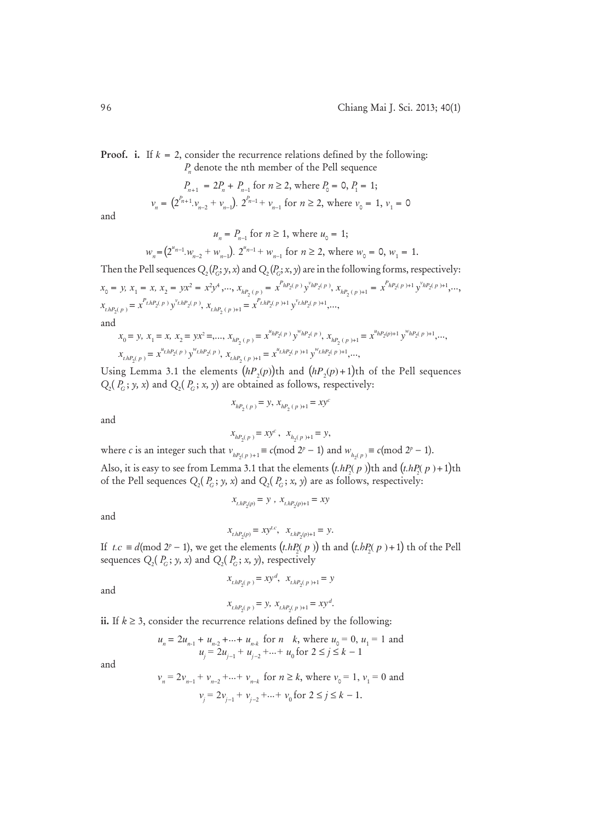**Proof.** i. If  $k = 2$ , consider the recurrence relations defined by the following: *Pn* denote the nth member of the Pell sequence

$$
P_{n+1} = 2P_n + P_{n-1} \text{ for } n \ge 2 \text{, where } P_0 = 0, P_1 = 1;
$$
  

$$
v_n = (2^{P_{n+1}} \cdot v_{n-2} + v_{n-1}). \ 2^{P_{n-1}} + v_{n-1} \text{ for } n \ge 2 \text{, where } v_0 = 1, v_1 = 0
$$

and

$$
u_n = P_{n-1} \text{ for } n \ge 1, \text{ where } u_0 = 1;
$$
  

$$
w_n = (2^{u_{n-1}} \cdot w_{n-2} + w_{n-1}). \quad 2^{u_{n-1}} + w_{n-1} \text{ for } n \ge 2, \text{ where } w_0 = 0, w_1 = 1.
$$

Then the Pell sequences  $Q_{_2}(P_{_G};y,x)$  and  $Q_{_2}(P_{_G};x,y)$  are in the following forms, respectively:  $x_0 = y$ ,  $x_1 = x$ ,  $x_2 = yx^2 = x^2y^4$ ,...,  $x_{hP_2(p)} = x^{P_hP_2(p)} y^{v_{hP_2(p)}}$ ,  $x_{hP_2(p)+1} = x^{P_hP_2(p)+1} y^{v_{hP_2(p)+1}}$ ,...,  $x_{t,hP_2(p)} = x^{P_{t,hP_2(p)}} y^{v_{t,hP_2(p)}}, x_{t,hP_2(p)+1} = x^{P_{t,hP_2(p)+1}} y^{v_{t,hP_2(p)+1}},...,$ 

and

$$
x_0 = y, x_1 = x, x_2 = yx^2 = \dots, x_{hP_2(p)} = x^{u_{hP_2(p)}} y^{w_{hP_2(p)}}, x_{hP_2(p)+1} = x^{u_{hP_2(p)+1}} y^{w_{hP_2(p)+1}}, \dots, x_{hP_2(p)} = x^{u_{hP_2(p)}} y^{w_{hP_2(p)+1}}, x_{hP_2(p)+1} = x^{u_{hP_2(p)+1}} y^{w_{hP_2(p)+1}}, \dots,
$$

Using Lemma 3.1 the elements  $(hP_2(p))$ th and  $(hP_2(p)+1)$ th of the Pell sequences  $Q_2$  ( $P_G$ ; *y*, *x*) and  $Q_2$  ( $P_G$ ; *x*, *y*) are obtained as follows, respectively:

$$
x_{hP_2(p)} = y, x_{hP_2(p)+1} = xy^c
$$

and

$$
x_{hP_2(p)} = xy^c, \ \ x_{h_2(p)+1} = y,
$$

where *c* is an integer such that  $v_{hP_2(p)+1} \equiv c \pmod{2^p-1}$  and  $w_{h_2(p)} \equiv c \pmod{2^p-1}$ . Also, it is easy to see from Lemma 3.1 that the elements  $(t.hP_2(p))$ th and  $(t.hP_2(p)+1)$ th of the Pell sequences  $Q_2(P_G; y, x)$  and  $Q_2(P_G; x, y)$  are as follows, respectively:

$$
x_{t.hP_2(p)} = y \ , \ x_{t.hP_2(p)+1} = xy
$$

and

$$
x_{t.hP_2(p)} = xy^{t.c}, \quad x_{t.hP_2(p)+1} = y.
$$

If *t.c* ≡ *d*(mod 2<sup>*p*</sup> − 1), we get the elements (*t.hP*<sub>2</sub>(*p*)) th and (*t.hP*<sub>2</sub>(*p*)+1) th of the Pell sequences  $Q_2$ ( $P_G$ ; *y*, *x*) and  $Q_2$ ( $P_G$ ; *x*, *y*), respectively

$$
x_{t,hP_2(p)} = xy^d, \ \ x_{t,hP_2(p)+1} = y
$$

and

$$
x_{thP_2(p)} = y, x_{thP_2(p)+1} = xy^d.
$$

ii. If  $k \geq 3$ , consider the recurrence relations defined by the following:

$$
u_n = 2u_{n-1} + u_{n-2} + \dots + u_{n-k} \text{ for } n \quad k, \text{ where } u_0 = 0, u_1 = 1 \text{ and}
$$
  

$$
u_j = 2u_{j-1} + u_{j-2} + \dots + u_0 \text{ for } 2 \le j \le k - 1
$$

and

$$
v_n = 2v_{n-1} + v_{n-2} + \dots + v_{n-k}
$$
 for  $n \ge k$ , where  $v_0 = 1$ ,  $v_1 = 0$  and  

$$
v_j = 2v_{j-1} + v_{j-2} + \dots + v_0
$$
 for  $2 \le j \le k - 1$ .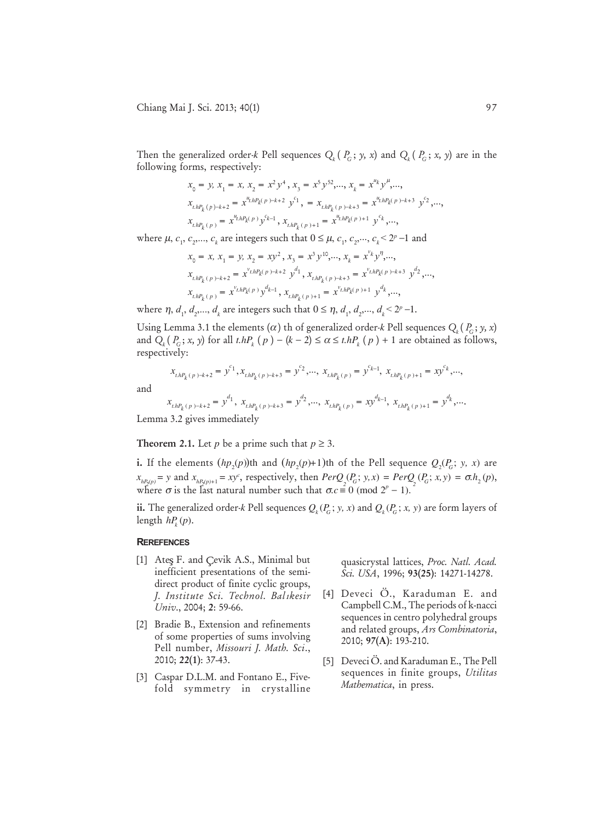Chiang Mai J. Sci. 2013; 40(1) 97

Then the generalized order-*k* Pell sequences  $Q_k$  (  $P_G$ ; *y*, *x*) and  $Q_k$  (  $P_G$ ; *x*, *y*) are in the following forms, respectively:

$$
x_0 = y, x_1 = x, x_2 = x^2 y^4, x_3 = x^5 y^{52},..., x_k = x^{u_k} y^{\mu},...,
$$
  
\n
$$
x_{thP_k(p)-k+2} = x^{u_{thP_k(p)-k+2}} y^{c_1}, x_{thP_k(p)-k+3} = x^{u_{thP_k(p)-k+3}} y^{c_2},...,
$$
  
\n
$$
x_{thP_k(p)} = x^{u_{thP_k(p)}} y^{c_{k-1}}, x_{thP_k(p)+1} = x^{u_{thP_k(p)+1}} y^{c_k},...,
$$

where  $\mu$ ,  $c_1$ ,  $c_2$ ,...,  $c_k$  are integers such that  $0 \leq \mu$ ,  $c_1$ ,  $c_2$ ,...,  $c_k < 2^p - 1$  and

$$
x_0 = x, x_1 = y, x_2 = xy^2, x_3 = x^3 y^{10}, \dots, x_k = x^{v_k} y^n, \dots,
$$
  
\n
$$
x_{\text{thP}_k(p) - k + 2} = x^{\nu_{\text{thP}_k(p) - k + 2}} y^{d_1}, x_{\text{thP}_k(p) - k + 3} = x^{\nu_{\text{thP}_k(p) - k + 3}} y^{d_2}, \dots,
$$
  
\n
$$
x_{\text{thP}_k(p)} = x^{\nu_{\text{thP}_k(p) - k + 1}}, x_{\text{thP}_k(p) + 1} = x^{\nu_{\text{thP}_k(p) + 1}} y^{d_k}, \dots,
$$

where  $\eta$ ,  $d_1$ ,  $d_2$ ,...,  $d_k$  are integers such that  $0 \le \eta$ ,  $d_1$ ,  $d_2$ ,...,  $d_k < 2^p - 1$ .

Using Lemma 3.1 the elements ( $\alpha$ ) th of generalized order-*k* Pell sequences  $Q_k(P_G; y, x)$ and  $Q_k$  ( $P_G$ ; *x*, *y*) for all *t.hP<sub>k</sub>* ( $p$ ) – ( $k-2$ ) ≤  $\alpha$  ≤ *t.hP<sub>k</sub>* ( $p$ ) + 1 are obtained as follows, respectively:

$$
x_{t,hP_k(p)-k+2} = y^{c_1}, x_{t,hP_k(p)-k+3} = y^{c_2}, \dots, x_{t,hP_k(p)} = y^{c_{k-1}}, x_{t,hP_k(p)+1} = xy^{c_k}, \dots,
$$

and

$$
x_{\text{thP}_k(p)-k+2} = y^{d_1}, x_{\text{thP}_k(p)-k+3} = y^{d_2}, \dots, x_{\text{thP}_k(p)} = xy^{d_{k-1}}, x_{\text{thP}_k(p)+1} = y^{d_k}, \dots
$$

Lemma 3.2 gives immediately

**Theorem 2.1.** Let *p* be a prime such that  $p \ge 3$ .

**i.** If the elements  $(hp_2(p))$ th and  $(hp_2(p)+1)$ th of the Pell sequence  $Q_2(P_G; y, x)$  are  $x_{hQ(p)} = y$  and  $x_{hQ(p)+1} = xy^c$ , respectively, then  $PerQ_2(P_G; y, x) = PerQ_2(P_G; x, y) = \sigma.h_2(p)$ , where  $\sigma$  is the last natural number such that  $\sigma c = 0 \pmod{2^p - 1}$ .

ii. The generalized order-*k* Pell sequences  $Q_k(P_G; y, x)$  and  $Q_k(P_G; x, y)$  are form layers of length  $hP_k(p)$ .

### **REREFENCES**

- [1] Ates F. and Cevik A.S., Minimal but inefficient presentations of the semidirect product of finite cyclic groups, *J. Institute Sci. Technol. Bal1kesir Univ*., 2004; 2: 59-66.
- [2] Bradie B., Extension and refinements of some properties of sums involving Pell number, *Missouri J. Math. Sci*., 2010; 22(1): 37-43.
- [3] Caspar D.L.M. and Fontano E., Fivefold symmetry in crystalline

quasicrystal lattices, *Proc. Natl. Acad. Sci. USA*, 1996; 93(25): 14271-14278.

- [4] Deveci Ö., Karaduman E. and Campbell C.M., The periods of k-nacci sequences in centro polyhedral groups and related groups, *Ars Combinatoria*, 2010; 97(A): 193-210.
- [5] Deveci  $\ddot{\text{O}}$ . and Karaduman E., The Pell sequences in finite groups, *Utilitas Mathematica*, in press.